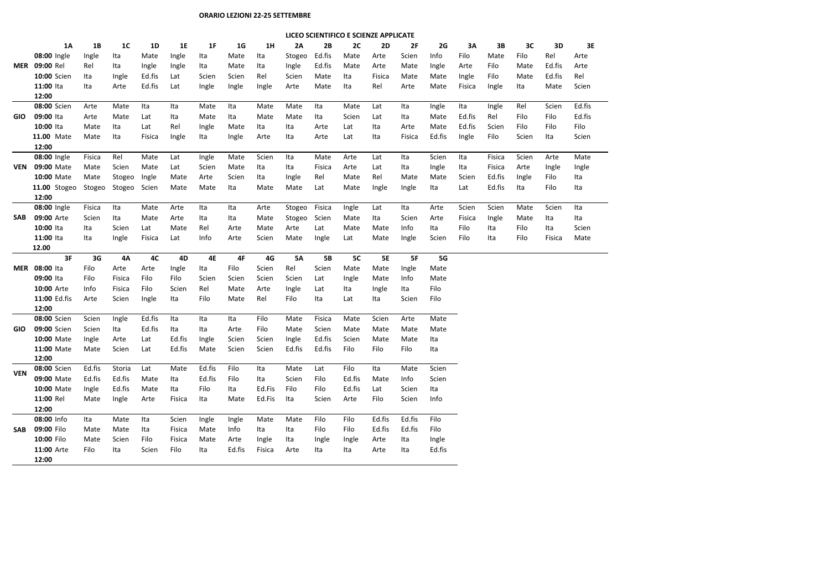## **ORARIO LEZIONI 22-25 SETTEMBRE**

|            |              | LICEO SCIENTIFICO E SCIENZE APPLICATE |                |           |           |           |        |        |           |           |        |           |        |        |        |        |       |        |        |
|------------|--------------|---------------------------------------|----------------|-----------|-----------|-----------|--------|--------|-----------|-----------|--------|-----------|--------|--------|--------|--------|-------|--------|--------|
|            | 1A           | <b>1B</b>                             | 1 <sup>C</sup> | <b>1D</b> | <b>1E</b> | 1F        | 1G     | 1H     | 2A        | 2B        | 2C     | 2D        | 2F     | 2G     | 3A     | 3B     | 3C    | 3D     | 3E     |
|            | 08:00 Ingle  | Ingle                                 | Ita            | Mate      | Ingle     | Ita       | Mate   | Ita    | Stogeo    | Ed.fis    | Mate   | Arte      | Scien  | Info   | Filo   | Mate   | Filo  | Rel    | Arte   |
| <b>MER</b> | 09:00 Rel    | Rel                                   | Ita            | Ingle     | Ingle     | Ita       | Mate   | Ita    | Ingle     | Ed.fis    | Mate   | Arte      | Mate   | Ingle  | Arte   | Filo   | Mate  | Ed.fis | Arte   |
|            | 10:00 Scien  | Ita                                   | Ingle          | Ed.fis    | Lat       | Scien     | Scien  | Rel    | Scien     | Mate      | Ita    | Fisica    | Mate   | Mate   | Ingle  | Filo   | Mate  | Ed.fis | Rel    |
|            | 11:00 Ita    | Ita                                   | Arte           | Ed.fis    | Lat       | Ingle     | Ingle  | Ingle  | Arte      | Mate      | Ita    | Rel       | Arte   | Mate   | Fisica | Ingle  | Ita   | Mate   | Scien  |
|            | 12:00        |                                       |                |           |           |           |        |        |           |           |        |           |        |        |        |        |       |        |        |
|            | 08:00 Scien  | Arte                                  | Mate           | Ita       | Ita       | Mate      | Ita    | Mate   | Mate      | Ita       | Mate   | Lat       | Ita    | Ingle  | Ita    | Ingle  | Rel   | Scien  | Ed.fis |
| GIO.       | 09:00 Ita    | Arte                                  | Mate           | Lat       | Ita       | Mate      | Ita    | Mate   | Mate      | Ita       | Scien  | Lat       | Ita    | Mate   | Ed.fis | Rel    | Filo  | Filo   | Ed.fis |
|            | 10:00 Ita    | Mate                                  | Ita            | Lat       | Rel       | Ingle     | Mate   | Ita    | Ita       | Arte      | Lat    | Ita       | Arte   | Mate   | Ed.fis | Scien  | Filo  | Filo   | Filo   |
|            | 11.00 Mate   | Mate                                  | Ita            | Fisica    | Ingle     | Ita       | Ingle  | Arte   | Ita       | Arte      | Lat    | Ita       | Fisica | Ed.fis | Ingle  | Filo   | Scien | Ita    | Scien  |
|            | 12:00        |                                       |                |           |           |           |        |        |           |           |        |           |        |        |        |        |       |        |        |
|            | 08:00 Ingle  | Fisica                                | Rel            | Mate      | Lat       | Ingle     | Mate   | Scien  | Ita       | Mate      | Arte   | Lat       | Ita    | Scien  | Ita    | Fisica | Scien | Arte   | Mate   |
| <b>VEN</b> | 09:00 Mate   | Mate                                  | Scien          | Mate      | Lat       | Scien     | Mate   | Ita    | Ita       | Fisica    | Arte   | Lat       | Ita    | Ingle  | Ita    | Fisica | Arte  | Ingle  | Ingle  |
|            | 10:00 Mate   | Mate                                  | Stogeo         | Ingle     | Mate      | Arte      | Scien  | Ita    | Ingle     | Rel       | Mate   | Rel       | Mate   | Mate   | Scien  | Ed.fis | Ingle | Filo   | Ita    |
|            | 11.00 Stogeo | Stogeo                                | Stogeo         | Scien     | Mate      | Mate      | Ita    | Mate   | Mate      | Lat       | Mate   | Ingle     | Ingle  | Ita    | Lat    | Ed.fis | Ita   | Filo   | Ita    |
|            | 12:00        |                                       |                |           |           |           |        |        |           |           |        |           |        |        |        |        |       |        |        |
|            | 08:00 Ingle  | Fisica                                | Ita            | Mate      | Arte      | Ita       | Ita    | Arte   | Stogeo    | Fisica    | Ingle  | Lat       | Ita    | Arte   | Scien  | Scien  | Mate  | Scien  | Ita    |
| <b>SAB</b> | 09:00 Arte   | Scien                                 | Ita            | Mate      | Arte      | Ita       | Ita    | Mate   | Stogeo    | Scien     | Mate   | Ita       | Scien  | Arte   | Fisica | Ingle  | Mate  | Ita    | Ita    |
|            | 10:00 Ita    | Ita                                   | Scien          | Lat       | Mate      | Rel       | Arte   | Mate   | Arte      | Lat       | Mate   | Mate      | Info   | Ita    | Filo   | Ita    | Filo  | Ita    | Scien  |
|            | 11:00 Ita    | Ita                                   | Ingle          | Fisica    | Lat       | Info      | Arte   | Scien  | Mate      | Ingle     | Lat    | Mate      | Ingle  | Scien  | Filo   | Ita    | Filo  | Fisica | Mate   |
|            | 12.00        |                                       |                |           |           |           |        |        |           |           |        |           |        |        |        |        |       |        |        |
|            | 3F           | 3G                                    | <b>4A</b>      | 4C        | 4D        | <b>4E</b> | 4F     | 4G     | <b>5A</b> | <b>5B</b> | 5C     | <b>5E</b> | 5F     | 5G     |        |        |       |        |        |
| <b>MER</b> | 08:00 Ita    | Filo                                  | Arte           | Arte      | Ingle     | Ita       | Filo   | Scien  | Rel       | Scien     | Mate   | Mate      | Ingle  | Mate   |        |        |       |        |        |
|            | 09:00 Ita    | Filo                                  | Fisica         | Filo      | Filo      | Scien     | Scien  | Scien  | Scien     | Lat       | Ingle  | Mate      | Info   | Mate   |        |        |       |        |        |
|            | 10:00 Arte   | Info                                  | Fisica         | Filo      | Scien     | Rel       | Mate   | Arte   | Ingle     | Lat       | Ita    | Ingle     | Ita    | Filo   |        |        |       |        |        |
|            | 11:00 Ed.fis | Arte                                  | Scien          | Ingle     | Ita       | Filo      | Mate   | Rel    | Filo      | Ita       | Lat    | Ita       | Scien  | Filo   |        |        |       |        |        |
|            | 12:00        |                                       |                |           |           |           |        |        |           |           |        |           |        |        |        |        |       |        |        |
|            | 08:00 Scien  | Scien                                 | Ingle          | Ed.fis    | Ita       | Ita       | Ita    | Filo   | Mate      | Fisica    | Mate   | Scien     | Arte   | Mate   |        |        |       |        |        |
| <b>GIO</b> | 09:00 Scien  | Scien                                 | Ita            | Ed.fis    | Ita       | Ita       | Arte   | Filo   | Mate      | Scien     | Mate   | Mate      | Mate   | Mate   |        |        |       |        |        |
|            | 10:00 Mate   | Ingle                                 | Arte           | Lat       | Ed.fis    | Ingle     | Scien  | Scien  | Ingle     | Ed.fis    | Scien  | Mate      | Mate   | Ita    |        |        |       |        |        |
|            | 11:00 Mate   | Mate                                  | Scien          | Lat       | Ed.fis    | Mate      | Scien  | Scien  | Ed.fis    | Ed.fis    | Filo   | Filo      | Filo   | Ita    |        |        |       |        |        |
|            | 12:00        |                                       |                |           |           |           |        |        |           |           |        |           |        |        |        |        |       |        |        |
| <b>VEN</b> | 08:00 Scien  | Ed.fis                                | Storia         | Lat       | Mate      | Ed.fis    | Filo   | Ita    | Mate      | Lat       | Filo   | Ita       | Mate   | Scien  |        |        |       |        |        |
|            | 09:00 Mate   | Ed.fis                                | Ed.fis         | Mate      | Ita       | Ed.fis    | Filo   | Ita    | Scien     | Filo      | Ed.fis | Mate      | Info   | Scien  |        |        |       |        |        |
|            | 10:00 Mate   | Ingle                                 | Ed.fis         | Mate      | Ita       | Filo      | Ita    | Ed.Fis | Filo      | Filo      | Ed.fis | Lat       | Scien  | Ita    |        |        |       |        |        |
|            | 11:00 Rel    | Mate                                  | Ingle          | Arte      | Fisica    | Ita       | Mate   | Ed.Fis | Ita       | Scien     | Arte   | Filo      | Scien  | Info   |        |        |       |        |        |
|            | 12:00        |                                       |                |           |           |           |        |        |           |           |        |           |        |        |        |        |       |        |        |
|            | 08:00 Info   | Ita                                   | Mate           | Ita       | Scien     | Ingle     | Ingle  | Mate   | Mate      | Filo      | Filo   | Ed.fis    | Ed.fis | Filo   |        |        |       |        |        |
| SAB.       | 09:00 Filo   | Mate                                  | Mate           | Ita       | Fisica    | Mate      | Info   | Ita    | Ita       | Filo      | Filo   | Ed.fis    | Ed.fis | Filo   |        |        |       |        |        |
|            | 10:00 Filo   | Mate                                  | Scien          | Filo      | Fisica    | Mate      | Arte   | Ingle  | Ita       | Ingle     | Ingle  | Arte      | Ita    | Ingle  |        |        |       |        |        |
|            | 11:00 Arte   | Filo                                  | Ita            | Scien     | Filo      | Ita       | Ed.fis | Fisica | Arte      | Ita       | Ita    | Arte      | Ita    | Ed.fis |        |        |       |        |        |
|            | 12:00        |                                       |                |           |           |           |        |        |           |           |        |           |        |        |        |        |       |        |        |